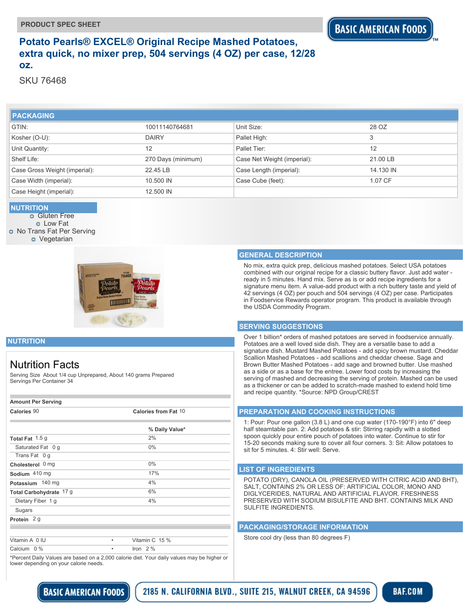## **Potato Pearls® EXCEL® Original Recipe Mashed Potatoes, extra quick, no mixer prep, 504 servings (4 OZ) per case, 12/28 oz.**

SKU 76468

| <b>I PACKAGING</b>            |                    |                             |           |
|-------------------------------|--------------------|-----------------------------|-----------|
| GTIN:                         | 10011140764681     | Unit Size:                  | 28 OZ     |
| Kosher (O-U):                 | <b>DAIRY</b>       | Pallet High:                | 3         |
| Unit Quantity:                | 12                 | Pallet Tier:                | 12        |
| Shelf Life:                   | 270 Days (minimum) | Case Net Weight (imperial): | 21.00 LB  |
| Case Gross Weight (imperial): | 22.45 LB           | Case Length (imperial):     | 14.130 IN |
| Case Width (imperial):        | 10.500 IN          | Case Cube (feet):           | 1.07 CF   |
| Case Height (imperial):       | 12.500 IN          |                             |           |

#### **NUTRITION**

**o** Gluten Free Low Fat **O** No Trans Fat Per Serving **o** Vegetarian



#### **GENERAL DESCRIPTION**

No mix, extra quick prep, delicious mashed potatoes. Select USA potatoes combined with our original recipe for a classic buttery flavor. Just add water ready in 5 minutes. Hand mix. Serve as is or add recipe ingredients for a signature menu item. A value-add product with a rich buttery taste and yield of 42 servings (4 OZ) per pouch and 504 servings (4 OZ) per case. Participates in Foodservice Rewards operator program. This product is available through the USDA Commodity Program.

#### **SERVING SUGGESTIONS**

Over 1 billion\* orders of mashed potatoes are served in foodservice annually. Potatoes are a well loved side dish. They are a versatile base to add a signature dish. Mustard Mashed Potatoes - add spicy brown mustard. Cheddar Scallion Mashed Potatoes - add scallions and cheddar cheese. Sage and Brown Butter Mashed Potatoes - add sage and browned butter. Use mashed as a side or as a base for the entree. Lower food costs by increasing the serving of mashed and decreasing the serving of protein. Mashed can be used as a thickener or can be added to scratch-made mashed to extend hold time and recipe quantity. \*Source: NPD Group/CREST

#### **PREPARATION AND COOKING INSTRUCTIONS**

1: Pour: Pour one gallon (3.8 L) and one cup water (170-190°F) into 6" deep half steamtable pan. 2: Add potatoes & stir: Stirring rapidly with a slotted spoon quickly pour entire pouch of potatoes into water. Continue to stir for 15-20 seconds making sure to cover all four corners. 3: Sit: Allow potatoes to sit for 5 minutes. 4: Stir well: Serve.

#### **LIST OF INGREDIENTS**

POTATO (DRY), CANOLA OIL (PRESERVED WITH CITRIC ACID AND BHT), SALT, CONTAINS 2% OR LESS OF: ARTIFICIAL COLOR, MONO AND DIGLYCERIDES, NATURAL AND ARTIFICIAL FLAVOR. FRESHNESS PRESERVED WITH SODIUM BISULFITE AND BHT. CONTAINS MILK AND SULFITE INGREDIENTS.

#### **PACKAGING/STORAGE INFORMATION**

Store cool dry (less than 80 degrees F)

### **NUTRITION**

## Nutrition Facts

Serving Size About 1/4 cup Unprepared, About 140 grams Prepared Servings Per Container 34

| <b>Amount Per Serving</b> |                      |                |  |  |
|---------------------------|----------------------|----------------|--|--|
| Calories 90               | Calories from Fat 10 |                |  |  |
|                           |                      | % Daily Value* |  |  |
| Total Fat 1.5 g           |                      | 2%             |  |  |
| Saturated Fat 0 g         |                      | 0%             |  |  |
| Trans Fat 0 q             |                      |                |  |  |
| Cholesterol 0 mg          |                      | $0\%$          |  |  |
| Sodium 410 mg             |                      | 17%            |  |  |
| Potassium 140 mg          |                      | 4%             |  |  |
| Total Carbohydrate 17 g   |                      | 6%             |  |  |
| Dietary Fiber 1 g         |                      | 4%             |  |  |
| Sugars                    |                      |                |  |  |
| Protein 2 g               |                      |                |  |  |
|                           |                      |                |  |  |
| Vitamin A 0 IU            | ٠                    | Vitamin C 15 % |  |  |
| Calcium 0 %               | ٠                    | Iron $2\%$     |  |  |
|                           |                      |                |  |  |

\*Percent Daily Values are based on a 2,000 calorie diet. Your daily values may be higher or lower depending on your calorie needs.

> **BASIC AMERICAN FOODS** 2185 N. CALIFORNIA BLVD., SUITE 215, WALNUT CREEK, CA 94596

**BAF.COM**